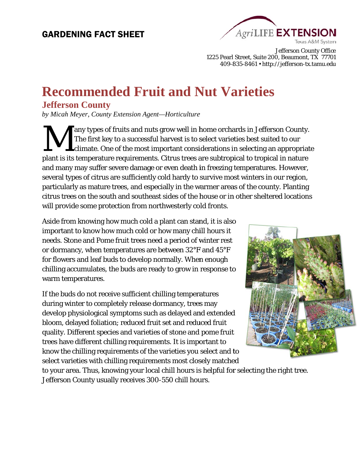# GARDENING FACT SHEET



1225 Pearl Street, Suite 200, Beaumont, TX 77701 409-835-8461 • http://jefferson-tx.tamu.edu Jefferson County Offic e

# **Recommended Fruit and Nut Varieties**

## **Jefferson County**

by Micah Meyer, County Extension Agent—Horticulture

plant is its temperature requirements. Citrus trees are subtropical to tropical in nature and many may suffer severe damage or even death in freezing temperatures. However, several types of citrus are sufficiently cold hardy to survive most winters in our region, particularly as mature trees, and especially in the warmer areas of the county. Planting citrus trees on the south and southeast sides of the house or in other sheltered locations will provide some protection from northwesterly cold fronts. M any types of fruits and nuts grow well in home orchards in Jefferson County. The first key to a successful harvest is to select varieties best suited to our climate. One of the most important considerations in selecting an appropriate

Aside from knowing how much cold a plant can stand, it is also important to know how much cold or how many chill hours it needs. Stone and Pome fruit trees need a period of winter rest or dormancy, when temperatures are between 32°F and 45°F for flowers and leaf buds to develop normally. When enough chilling accumulates, the buds are ready to grow in response to warm temperatures.

If the buds do not receive sufficient chilling temperatures during winter to completely release dormancy, trees may develop physiological symptoms such as delayed and extended bloom, delayed foliation; reduced fruit set and reduced fruit quality. Different sp pecies and varieties of f stone and pome fruit trees have different chilling requirements. It is important to develop physiological symptoms such as delayed and extended<br>bloom, delayed foliation; reduced fruit set and reduced fruit<br>quality. Different species and varieties of stone and pome fruit<br>trees have different chilling requi select varieties with chilling requirements most closely matched



to your area. Thus, knowing your local chill hours is helpful for selecting the right tree. Jefferson County usually receives 300-550 chill hours.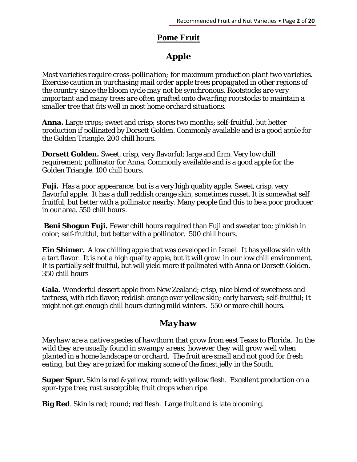# **Pome Fruit**

# *Apple*

*Most varieties require cross-pollination; for maximum production plant two varieties. Exercise caution in purchasing mail order apple trees propagated in other regions of the country since the bloom cycle may not be synchronous. Rootstocks are very important and many trees are often grafted onto dwarfing rootstocks to maintain a smaller tree that fits well in most home orchard situations.* 

**Anna.** Large crops; sweet and crisp; stores two months; self-fruitful, but better production if pollinated by Dorsett Golden. Commonly available and is a good apple for the Golden Triangle. 200 chill hours.

**Dorsett Golden.** Sweet, crisp, very flavorful; large and firm. Very low chill requirement; pollinator for Anna. Commonly available and is a good apple for the Golden Triangle. 100 chill hours.

**Fuji.** Has a poor appearance, but is a very high quality apple. Sweet, crisp, very flavorful apple. It has a dull reddish orange skin, sometimes russet. It is somewhat self fruitful, but better with a pollinator nearby. Many people find this to be a poor producer in our area. 550 chill hours.

**Beni Shogun Fuji.** Fewer chill hours required than Fuji and sweeter too; pinkish in color; self-fruitful, but better with a pollinator. 500 chill hours.

**Ein Shimer.** A low chilling apple that was developed in Israel. It has yellow skin with a tart flavor. It is not a high quality apple, but it will grow in our low chill environment. It is partially self fruitful, but will yield more if pollinated with Anna or Dorsett Golden. 350 chill hours

**Gala.** Wonderful dessert apple from New Zealand; crisp, nice blend of sweetness and tartness, with rich flavor; reddish orange over yellow skin; early harvest; self-fruitful; It might not get enough chill hours during mild winters. 550 or more chill hours.

# *Mayhaw*

*Mayhaw are a native species of hawthorn that grow from east Texas to Florida. In the wild they are usually found in swampy areas; however they will grow well when planted in a home landscape or orchard. The fruit are small and not good for fresh eating, but they are prized for making some of the finest jelly in the South.* 

**Super Spur.** Skin is red & yellow, round; with yellow flesh. Excellent production on a spur-type tree; rust susceptible; fruit drops when ripe.

**Big Red**. Skin is red; round; red flesh. Large fruit and is late blooming.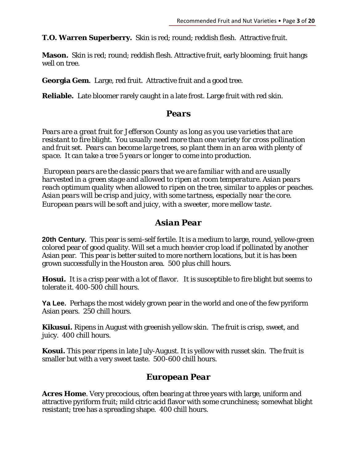**T.O. Warren Superberry.** Skin is red; round; reddish flesh. Attractive fruit.

**Mason.** Skin is red; round; reddish flesh. Attractive fruit, early blooming; fruit hangs well on tree.

**Georgia Gem.** Large, red fruit. Attractive fruit and a good tree.

**Reliable.** Late bloomer rarely caught in a late frost. Large fruit with red skin.

#### *Pears*

*Pears are a great fruit for Jefferson County as long as you use varieties that are resistant to fire blight. You usually need more than one variety for cross pollination and fruit set. Pears can become large trees, so plant them in an area with plenty of space. It can take a tree 5 years or longer to come into production.* 

 *European pears are the classic pears that we are familiar with and are usually harvested in a green stage and allowed to ripen at room temperature. Asian pears reach optimum quality when allowed to ripen on the tree, similar to apples or peaches. Asian pears will be crisp and juicy, with some tartness, especially near the core. European pears will be soft and juicy, with a sweeter, more mellow taste.* 

#### *Asian Pear*

**20th Century.** This pear is semi-self fertile. It is a medium to large, round, yellow-green colored pear of good quality. Will set a much heavier crop load if pollinated by another Asian pear. This pear is better suited to more northern locations, but it is has been grown successfully in the Houston area. 500 plus chill hours.

**Hosui.** It is a crisp pear with a lot of flavor. It is susceptible to fire blight but seems to tolerate it. 400-500 chill hours.

**Ya Lee.** Perhaps the most widely grown pear in the world and one of the few pyriform Asian pears. 250 chill hours.

**Kikusui.** Ripens in August with greenish yellow skin. The fruit is crisp, sweet, and juicy. 400 chill hours.

**Kosui.** This pear ripens in late July-August. It is yellow with russet skin. The fruit is smaller but with a very sweet taste. 500-600 chill hours.

#### *European Pear*

**Acres Home**. Very precocious, often bearing at three years with large, uniform and attractive pyriform fruit; mild citric acid flavor with some crunchiness; somewhat blight resistant; tree has a spreading shape. 400 chill hours.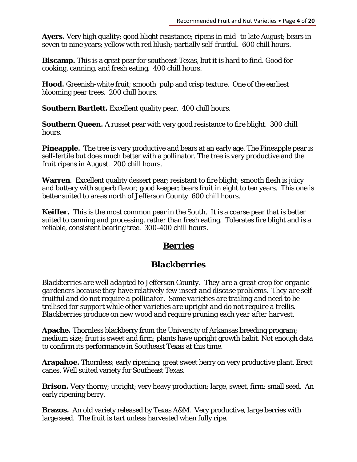**Ayers.** Very high quality; good blight resistance; ripens in mid- to late August; bears in seven to nine years; yellow with red blush; partially self-fruitful. 600 chill hours.

**Biscamp.** This is a great pear for southeast Texas, but it is hard to find. Good for cooking, canning, and fresh eating. 400 chill hours.

**Hood.** Greenish-white fruit; smooth pulp and crisp texture. One of the earliest blooming pear trees. 200 chill hours.

**Southern Bartlett.** Excellent quality pear. 400 chill hours.

**Southern Queen.** A russet pear with very good resistance to fire blight. 300 chill hours.

**Pineapple.** The tree is very productive and bears at an early age. The Pineapple pear is self-fertile but does much better with a pollinator. The tree is very productive and the fruit ripens in August. 200 chill hours.

**Warren.** Excellent quality dessert pear; resistant to fire blight; smooth flesh is juicy and buttery with superb flavor; good keeper; bears fruit in eight to ten years. This one is better suited to areas north of Jefferson County. 600 chill hours.

**Keiffer.** This is the most common pear in the South. It is a coarse pear that is better suited to canning and processing, rather than fresh eating. Tolerates fire blight and is a reliable, consistent bearing tree. 300-400 chill hours.

# **Berries**

# *Blackberries*

*Blackberries are well adapted to Jefferson County. They are a great crop for organic gardeners because they have relatively few insect and disease problems. They are self fruitful and do not require a pollinator. Some varieties are trailing and need to be trellised for support while other varieties are upright and do not require a trellis. Blackberries produce on new wood and require pruning each year after harvest.* 

**Apache.** Thornless blackberry from the University of Arkansas breeding program; medium size; fruit is sweet and firm; plants have upright growth habit. Not enough data to confirm its performance in Southeast Texas at this time.

**Arapahoe.** Thornless; early ripening; great sweet berry on very productive plant. Erect canes. Well suited variety for Southeast Texas.

**Brison.** Very thorny; upright; very heavy production; large, sweet, firm; small seed. An early ripening berry.

**Brazos.** An old variety released by Texas A&M. Very productive, large berries with large seed. The fruit is tart unless harvested when fully ripe.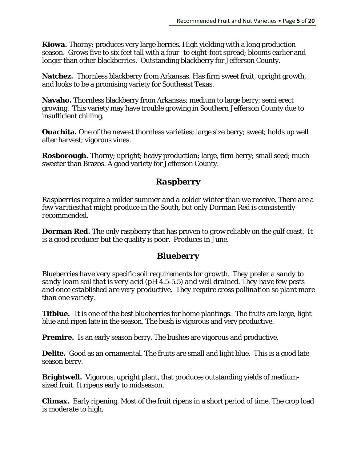**Kiowa.** Thorny; produces very large berries. High yielding with a long production season. Grows five to six feet tall with a four- to eight-foot spread; blooms earlier and longer than other blackberries. Outstanding blackberry for Jefferson County.

**Natchez.** Thornless blackberry from Arkansas. Has firm sweet fruit, upright growth, and looks to be a promising variety for Southeast Texas.

**Navaho.** Thornless blackberry from Arkansas; medium to large berry; semi erect growing. This variety may have trouble growing in Southern Jefferson County due to insufficient chilling.

**Ouachita.** One of the newest thornless varieties; large size berry; sweet; holds up well after harvest; vigorous vines.

**Rosborough.** Thorny; upright; heavy production; large, firm berry; small seed; much sweeter than Brazos. A good variety for Jefferson County.

# *Raspberry*

*Raspberries require a milder summer and a colder winter than we receive. There are a few varitiesthat might produce in the South, but only Dorman Red is consistently recommended.* 

**Dorman Red***.* The only raspberry that has proven to grow reliably on the gulf coast. It is a good producer but the quality is poor. Produces in June.

# *Blueberry*

*Blueberries have very specific soil requirements for growth. They prefer a sandy to sandy loam soil that is very acid (pH 4.5-5.5) and well drained. They have few pests and once established are very productive. They require cross pollination so plant more than one variety.* 

**Tifblue.** It is one of the best blueberries for home plantings. The fruits are large, light blue and ripen late in the season. The bush is vigorous and very productive.

**Premire.** Is an early season berry. The bushes are vigorous and productive.

**Delite.** Good as an ornamental. The fruits are small and light blue. This is a good late season berry.

**Brightwell.** Vigorous, upright plant, that produces outstanding yields of mediumsized fruit. It ripens early to midseason.

**Climax.** Early ripening. Most of the fruit ripens in a short period of time. The crop load is moderate to high.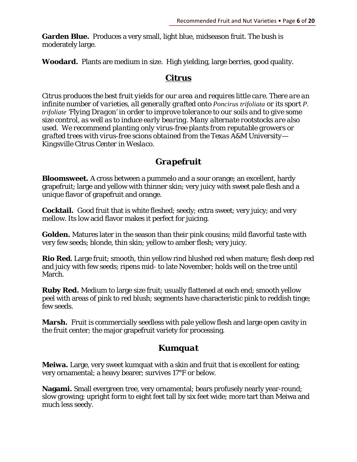**Garden Blue.** Produces a very small, light blue, midseason fruit. The bush is moderately large.

**Woodard.** Plants are medium in size. High yielding, large berries, good quality.

#### **Citrus**

*Citrus produces the best fruit yields for our area and requires little care. There are an infinite number of varieties, all generally grafted onto Poncirus trifoliata or its sport P. trifoliate 'Flying Dragon' in order to improve tolerance to our soils and to give some size control, as well as to induce early bearing. Many alternate rootstocks are also used. We recommend planting only virus-free plants from reputable growers or grafted trees with virus-free scions obtained from the Texas A&M University— Kingsville Citrus Center in Weslaco.* 

## *Grapefruit*

**Bloomsweet.** A cross between a pummelo and a sour orange; an excellent, hardy grapefruit; large and yellow with thinner skin; very juicy with sweet pale flesh and a unique flavor of grapefruit and orange.

**Cocktail.** Good fruit that is white fleshed; seedy; extra sweet; very juicy; and very mellow. Its low acid flavor makes it perfect for juicing.

**Golden.** Matures later in the season than their pink cousins; mild flavorful taste with very few seeds; blonde, thin skin; yellow to amber flesh; very juicy.

**Rio Red.** Large fruit; smooth, thin yellow rind blushed red when mature; flesh deep red and juicy with few seeds; ripens mid- to late November; holds well on the tree until March.

**Ruby Red.** Medium to large size fruit; usually flattened at each end; smooth yellow peel with areas of pink to red blush; segments have characteristic pink to reddish tinge; few seeds.

**Marsh.** Fruit is commercially seedless with pale yellow flesh and large open cavity in the fruit center; the major grapefruit variety for processing.

## *Kumquat*

**Meiwa.** Large, very sweet kumquat with a skin and fruit that is excellent for eating; very ornamental; a heavy bearer; survives 17°F or below.

**Nagami.** Small evergreen tree, very ornamental; bears profusely nearly year-round; slow growing; upright form to eight feet tall by six feet wide; more tart than Meiwa and much less seedy.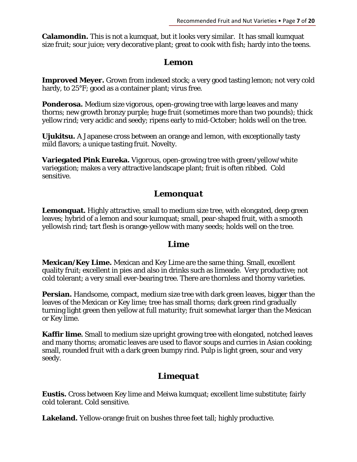**Calamondin.** This is not a kumquat, but it looks very similar. It has small kumquat size fruit; sour juice; very decorative plant; great to cook with fish; hardy into the teens.

#### *Lemon*

**Improved Meyer.** Grown from indexed stock; a very good tasting lemon; not very cold hardy, to 25°F; good as a container plant; virus free.

**Ponderosa.** Medium size vigorous, open-growing tree with large leaves and many thorns; new growth bronzy purple; huge fruit (sometimes more than two pounds); thick yellow rind; very acidic and seedy; ripens early to mid-October; holds well on the tree.

**Ujukitsu.** A Japanese cross between an orange and lemon, with exceptionally tasty mild flavors; a unique tasting fruit. Novelty.

**Variegated Pink Eureka.** Vigorous, open-growing tree with green/yellow/white variegation; makes a very attractive landscape plant; fruit is often ribbed. Cold sensitive.

#### *Lemonquat*

**Lemonquat.** Highly attractive, small to medium size tree, with elongated, deep green leaves; hybrid of a lemon and sour kumquat; small, pear-shaped fruit, with a smooth yellowish rind; tart flesh is orange-yellow with many seeds; holds well on the tree.

#### *Lime*

**Mexican/Key Lime.** Mexican and Key Lime are the same thing. Small, excellent quality fruit; excellent in pies and also in drinks such as limeade. Very productive; not cold tolerant; a very small ever-bearing tree. There are thornless and thorny varieties.

**Persian.** Handsome, compact, medium size tree with dark green leaves, bigger than the leaves of the Mexican or Key lime; tree has small thorns; dark green rind gradually turning light green then yellow at full maturity; fruit somewhat larger than the Mexican or Key lime.

**Kaffir lime.** Small to medium size upright growing tree with elongated, notched leaves and many thorns; aromatic leaves are used to flavor soups and curries in Asian cooking; small, rounded fruit with a dark green bumpy rind. Pulp is light green, sour and very seedy.

# *Limequat*

**Eustis.** Cross between Key lime and Meiwa kumquat; excellent lime substitute; fairly cold tolerant. Cold sensitive.

**Lakeland.** Yellow-orange fruit on bushes three feet tall; highly productive.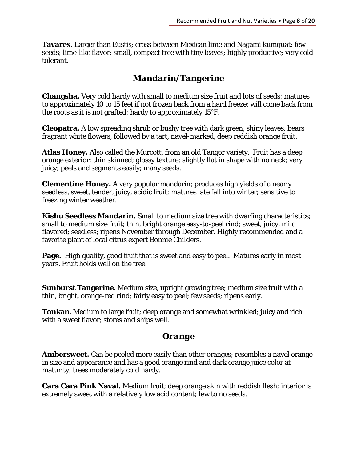**Tavares.** Larger than Eustis; cross between Mexican lime and Nagami kumquat; few seeds; lime-like flavor; small, compact tree with tiny leaves; highly productive; very cold tolerant.

## *Mandarin/Tangerine*

**Changsha.** Very cold hardy with small to medium size fruit and lots of seeds; matures to approximately 10 to 15 feet if not frozen back from a hard freeze; will come back from the roots as it is not grafted; hardy to approximately 15°F.

**Cleopatra.** A low spreading shrub or bushy tree with dark green, shiny leaves; bears fragrant white flowers, followed by a tart, navel-marked, deep reddish orange fruit.

**Atlas Honey.** Also called the Murcott, from an old Tangor variety. Fruit has a deep orange exterior; thin skinned; glossy texture; slightly flat in shape with no neck; very juicy; peels and segments easily; many seeds.

**Clementine Honey.** A very popular mandarin; produces high yields of a nearly seedless, sweet, tender, juicy, acidic fruit; matures late fall into winter; sensitive to freezing winter weather.

**Kishu Seedless Mandarin.** Small to medium size tree with dwarfing characteristics; small to medium size fruit; thin, bright orange easy-to-peel rind; sweet, juicy, mild flavored; seedless; ripens November through December. Highly recommended and a favorite plant of local citrus expert Bonnie Childers.

**Page.** High quality, good fruit that is sweet and easy to peel. Matures early in most years. Fruit holds well on the tree.

**Sunburst Tangerine.** Medium size, upright growing tree; medium size fruit with a thin, bright, orange-red rind; fairly easy to peel; few seeds; ripens early.

**Tonkan.** Medium to large fruit; deep orange and somewhat wrinkled; juicy and rich with a sweet flavor; stores and ships well.

## *Orange*

**Ambersweet.** Can be peeled more easily than other oranges; resembles a navel orange in size and appearance and has a good orange rind and dark orange juice color at maturity; trees moderately cold hardy.

**Cara Cara Pink Naval.** Medium fruit; deep orange skin with reddish flesh; interior is extremely sweet with a relatively low acid content; few to no seeds.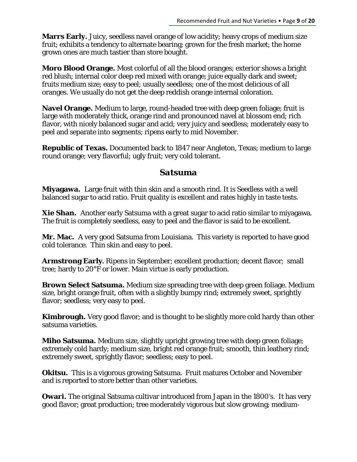**Marrs Early.** Juicy, seedless navel orange of low acidity; heavy crops of medium size fruit; exhibits a tendency to alternate bearing; grown for the fresh market; the home grown ones are much tastier than store bought.

**Moro Blood Orange.** Most colorful of all the blood oranges; exterior shows a bright red blush; internal color deep red mixed with orange; juice equally dark and sweet; fruits medium size; easy to peel; usually seedless; one of the most delicious of all oranges. We usually do not get the deep reddish orange internal coloration.

**Navel Orange.** Medium to large, round-headed tree with deep green foliage; fruit is large with moderately thick, orange rind and pronounced navel at blossom end; rich flavor, with nicely balanced sugar and acid; very juicy and seedless; moderately easy to peel and separate into segments; ripens early to mid November.

**Republic of Texas.** Documented back to 1847 near Angleton, Texas; medium to large round orange; very flavorful; ugly fruit; very cold tolerant.

#### *Satsuma*

**Miyagawa.** Large fruit with thin skin and a smooth rind. It is Seedless with a well balanced sugar to acid ratio. Fruit quality is excellent and rates highly in taste tests.

**Xie Shan.** Another early Satsuma with a great sugar to acid ratio similar to miyagawa. The fruit is completely seedless, easy to peel and the flavor is said to be excellent.

**Mr. Mac.** A very good Satsuma from Louisiana. This variety is reported to have good cold tolerance. Thin skin and easy to peel.

**Armstrong Early.** Ripens in September; excellent production; decent flavor; small tree; hardy to 20°F or lower. Main virtue is early production.

**Brown Select Satsuma.** Medium size spreading tree with deep green foliage. Medium size, bright orange fruit, often with a slightly bumpy rind; extremely sweet, sprightly flavor; seedless; very easy to peel.

**Kimbrough.** Very good flavor; and is thought to be slightly more cold hardy than other satsuma varieties.

**Miho Satsuma.** Medium size, slightly upright growing tree with deep green foliage; extremely cold hardy; medium size, bright red orange fruit; smooth, thin leathery rind; extremely sweet, sprightly flavor; seedless; easy to peel.

**Okitsu.** This is a vigorous growing Satsuma. Fruit matures October and November and is reported to store better than other varieties.

**Owari.** The original Satsuma cultivar introduced from Japan in the 1800's. It has very good flavor; great production; tree moderately vigorous but slow growing; medium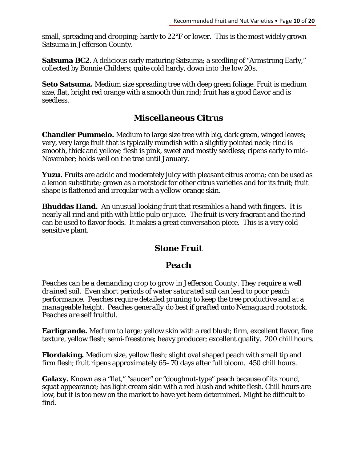small, spreading and drooping; hardy to 22°F or lower. This is the most widely grown Satsuma in Jefferson County.

**Satsuma BC2**. A delicious early maturing Satsuma; a seedling of "Armstrong Early," collected by Bonnie Childers; quite cold hardy, down into the low 20s.

**Seto Satsuma.** Medium size spreading tree with deep green foliage. Fruit is medium size, flat, bright red orange with a smooth thin rind; fruit has a good flavor and is seedless.

## *Miscellaneous Citrus*

**Chandler Pummelo.** Medium to large size tree with big, dark green, winged leaves; very, very large fruit that is typically roundish with a slightly pointed neck; rind is smooth, thick and yellow; flesh is pink, sweet and mostly seedless; ripens early to mid-November; holds well on the tree until January.

**Yuzu.** Fruits are acidic and moderately juicy with pleasant citrus aroma; can be used as a lemon substitute; grown as a rootstock for other citrus varieties and for its fruit; fruit shape is flattened and irregular with a yellow-orange skin.

**Bhuddas Hand.** An unusual looking fruit that resembles a hand with fingers. It is nearly all rind and pith with little pulp or juice. The fruit is very fragrant and the rind can be used to flavor foods. It makes a great conversation piece. This is a very cold sensitive plant.

# **Stone Fruit**

## *Peach*

*Peaches can be a demanding crop to grow in Jefferson County. They require a well drained soil. Even short periods of water saturated soil can lead to poor peach performance. Peaches require detailed pruning to keep the tree productive and at a manageable height. Peaches generally do best if grafted onto Nemaguard rootstock. Peaches are self fruitful.* 

**Earligrande.** Medium to large; yellow skin with a red blush; firm, excellent flavor, fine texture, yellow flesh; semi-freestone; heavy producer; excellent quality. 200 chill hours.

**Flordaking.** Medium size, yellow flesh; slight oval shaped peach with small tip and firm flesh; fruit ripens approximately 65–70 days after full bloom. 450 chill hours.

Galaxy. Known as a "flat," "saucer" or "doughnut-type" peach because of its round, squat appearance; has light cream skin with a red blush and white flesh. Chill hours are low, but it is too new on the market to have yet been determined. Might be difficult to find.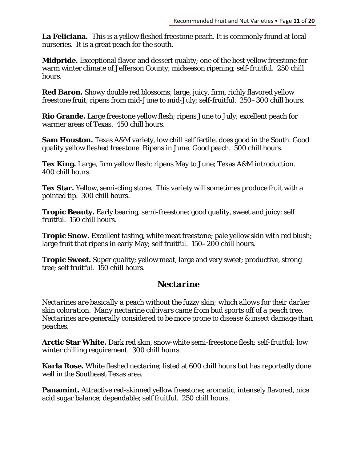La Feliciana. This is a yellow fleshed freestone peach. It is commonly found at local nurseries. It is a great peach for the south.

**Midpride.** Exceptional flavor and dessert quality; one of the best yellow freestone for warm winter climate of Jefferson County; midseason ripening; self-fruitful. 250 chill hours.

**Red Baron.** Showy double red blossoms; large, juicy, firm, richly flavored yellow freestone fruit; ripens from mid-June to mid-July; self-fruitful. 250–300 chill hours.

**Rio Grande.** Large freestone yellow flesh; ripens June to July; excellent peach for warmer areas of Texas. 450 chill hours.

**Sam Houston.** Texas A&M variety, low chill self fertile, does good in the South. Good quality yellow fleshed freestone. Ripens in June. Good peach. 500 chill hours.

**Tex King.** Large, firm yellow flesh; ripens May to June; Texas A&M introduction. 400 chill hours.

**Tex Star.** Yellow, semi-cling stone. This variety will sometimes produce fruit with a pointed tip. 300 chill hours.

**Tropic Beauty.** Early bearing, semi-freestone; good quality, sweet and juicy; self fruitful. 150 chill hours.

**Tropic Snow.** Excellent tasting, white meat freestone; pale yellow skin with red blush; large fruit that ripens in early May; self fruitful. 150–200 chill hours.

**Tropic Sweet.** Super quality; yellow meat, large and very sweet; productive, strong tree; self fruitful. 150 chill hours.

# *Nectarine*

*Nectarines are basically a peach without the fuzzy skin; which allows for their darker skin coloration. Many nectarine cultivars came from bud sports off of a peach tree. Nectarines are generally considered to be more prone to disease & insect damage than peaches.* 

**Arctic Star White.** Dark red skin, snow-white semi-freestone flesh; self-fruitful; low winter chilling requirement. 300 chill hours.

**Karla Rose.** White fleshed nectarine; listed at 600 chill hours but has reportedly done well in the Southeast Texas area.

**Panamint.** Attractive red-skinned yellow freestone; aromatic, intensely flavored, nice acid sugar balance; dependable; self fruitful. 250 chill hours.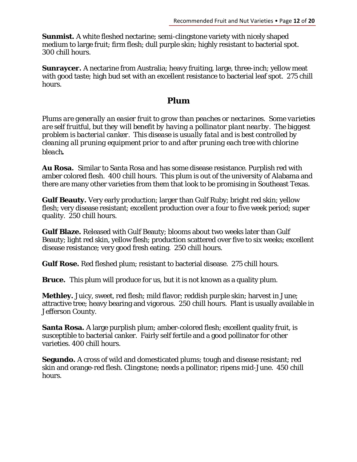**Sunmist.** A white fleshed nectarine; semi-clingstone variety with nicely shaped medium to large fruit; firm flesh; dull purple skin; highly resistant to bacterial spot. 300 chill hours.

**Sunraycer.** A nectarine from Australia; heavy fruiting, large, three-inch; yellow meat with good taste; high bud set with an excellent resistance to bacterial leaf spot. 275 chill hours.

#### *Plum*

*Plums are generally an easier fruit to grow than peaches or nectarines. Some varieties are self fruitful, but they will benefit by having a pollinator plant nearby. The biggest problem is bacterial canker. This disease is usually fatal and is best controlled by cleaning all pruning equipment prior to and after pruning each tree with chlorine bleach.* 

**Au Rosa.** Similar to Santa Rosa and has some disease resistance. Purplish red with amber colored flesh. 400 chill hours. This plum is out of the university of Alabama and there are many other varieties from them that look to be promising in Southeast Texas.

**Gulf Beauty.** Very early production; larger than Gulf Ruby; bright red skin; yellow flesh; very disease resistant; excellent production over a four to five week period; super quality. 250 chill hours.

**Gulf Blaze.** Released with Gulf Beauty; blooms about two weeks later than Gulf Beauty; light red skin, yellow flesh; production scattered over five to six weeks; excellent disease resistance; very good fresh eating. 250 chill hours.

**Gulf Rose.** Red fleshed plum; resistant to bacterial disease. 275 chill hours.

**Bruce.** This plum will produce for us, but it is not known as a quality plum.

**Methley.** Juicy, sweet, red flesh; mild flavor; reddish purple skin; harvest in June; attractive tree; heavy bearing and vigorous. 250 chill hours. Plant is usually available in Jefferson County.

**Santa Rosa.** A large purplish plum; amber-colored flesh; excellent quality fruit, is susceptible to bacterial canker. Fairly self fertile and a good pollinator for other varieties. 400 chill hours.

**Segundo.** A cross of wild and domesticated plums; tough and disease resistant; red skin and orange-red flesh. Clingstone; needs a pollinator; ripens mid-June. 450 chill hours.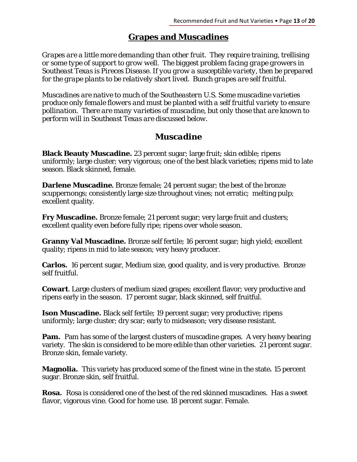#### **Grapes and Muscadines**

*Grapes are a little more demanding than other fruit. They require training, trellising or some type of support to grow well. The biggest problem facing grape growers in Southeast Texas is Pireces Disease. If you grow a susceptible variety, then be prepared for the grape plants to be relatively short lived. Bunch grapes are self fruitful.* 

*Muscadines are native to much of the Southeastern U.S. Some muscadine varieties produce only female flowers and must be planted with a self fruitful variety to ensure pollination. There are many varieties of muscadine, but only those that are known to perform will in Southeast Texas are discussed below.* 

#### *Muscadine*

**Black Beauty Muscadine.** 23 percent sugar; large fruit; skin edible; ripens uniformly; large cluster; very vigorous; one of the best black varieties; ripens mid to late season. Black skinned, female.

**Darlene Muscadine.** Bronze female; 24 percent sugar; the best of the bronze scuppernongs; consistently large size throughout vines; not erratic; melting pulp; excellent quality.

**Fry Muscadine.** Bronze female; 21 percent sugar; very large fruit and clusters; excellent quality even before fully ripe; ripens over whole season.

**Granny Val Muscadine.** Bronze self fertile; 16 percent sugar; high yield; excellent quality; ripens in mid to late season; very heavy producer.

**Carlos.** 16 percent sugar, Medium size, good quality, and is very productive. Bronze self fruitful.

**Cowart**. Large clusters of medium sized grapes; excellent flavor; very productive and ripens early in the season. 17 percent sugar, black skinned, self fruitful.

**Ison Muscadine.** Black self fertile; 19 percent sugar; very productive; ripens uniformly; large cluster; dry scar; early to midseason; very disease resistant.

**Pam.** Pam has some of the largest clusters of muscadine grapes. A very heavy bearing variety. The skin is considered to be more edible than other varieties. 21 percent sugar. Bronze skin, female variety.

**Magnolia.** This variety has produced some of the finest wine in the state**.** 15 percent sugar. Bronze skin, self fruitful.

**Rosa.** Rosa is considered one of the best of the red skinned muscadines. Has a sweet flavor, vigorous vine. Good for home use. 18 percent sugar. Female.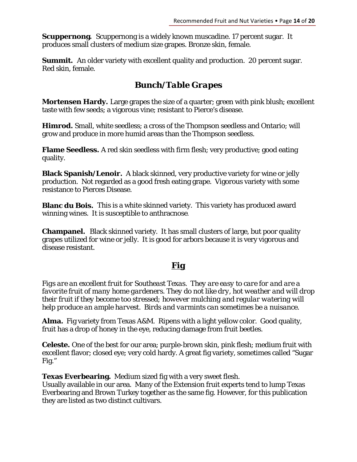**Scuppernong.** Scuppernong is a widely known muscadine. 17 percent sugar. It produces small clusters of medium size grapes. Bronze skin, female.

**Summit.** An older variety with excellent quality and production. 20 percent sugar. Red skin, female.

# *Bunch/Table Grapes*

**Mortensen Hardy.** Large grapes the size of a quarter; green with pink blush; excellent taste with few seeds; a vigorous vine; resistant to Pierce's disease.

**Himrod.** Small, white seedless; a cross of the Thompson seedless and Ontario; will grow and produce in more humid areas than the Thompson seedless.

**Flame Seedless.** A red skin seedless with firm flesh; very productive; good eating quality.

**Black Spanish/Lenoir.** A black skinned, very productive variety for wine or jelly production. Not regarded as a good fresh eating grape. Vigorous variety with some resistance to Pierces Disease.

**Blanc du Bois.** This is a white skinned variety. This variety has produced award winning wines. It is susceptible to anthracnose.

**Champanel.** Black skinned variety. It has small clusters of large, but poor quality grapes utilized for wine or jelly. It is good for arbors because it is very vigorous and disease resistant.

# *Fig*

*Figs are an excellent fruit for Southeast Texas. They are easy to care for and are a favorite fruit of many home gardeners. They do not like dry, hot weather and will drop their fruit if they become too stressed; however mulching and regular watering will help produce an ample harvest. Birds and varmints can sometimes be a nuisance.* 

**Alma.** Fig variety from Texas A&M. Ripens with a light yellow color. Good quality, fruit has a drop of honey in the eye, reducing damage from fruit beetles.

**Celeste.** One of the best for our area; purple-brown skin, pink flesh; medium fruit with excellent flavor; closed eye; very cold hardy. A great fig variety, sometimes called "Sugar Fig."

**Texas Everbearing.** Medium sized fig with a very sweet flesh.

Usually available in our area. Many of the Extension fruit experts tend to lump Texas Everbearing and Brown Turkey together as the same fig. However, for this publication they are listed as two distinct cultivars.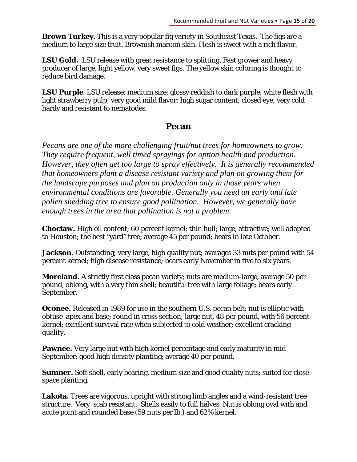**Brown Turkey**. This is a very popular fig variety in Southeast Texas. The figs are a medium to large size fruit. Brownish maroon skin. Flesh is sweet with a rich flavor.

**LSU Gold.** LSU release with great resistance to splitting. Fast grower and heavy producer of large, light yellow, very sweet figs. The yellow skin coloring is thought to reduce bird damage.

**LSU Purple.** LSU release; medium size; glossy reddish to dark purple; white flesh with light strawberry pulp; very good mild flavor; high sugar content; closed eye; very cold hardy and resistant to nematodes.

## **Pecan**

*Pecans are one of the more challenging fruit/nut trees for homeowners to grow. They require frequent, well timed sprayings for option health and production. However, they often get too large to spray effectively. It is generally recommended that homeowners plant a disease resistant variety and plan on growing them for the landscape purposes and plan on production only in those years when environmental conditions are favorable. Generally you need an early and late pollen shedding tree to ensure good pollination. However, we generally have enough trees in the area that pollination is not a problem.* 

**Choctaw.** High oil content; 60 percent kernel; thin hull; large, attractive; well adapted to Houston; the best "yard" tree; average 45 per pound; bears in late October.

**Jackson.** Outstanding; very large, high quality nut; averages 33 nuts per pound with 54 percent kernel; high disease resistance; bears early November in five to six years.

**Moreland.** A strictly first class pecan variety; nuts are medium-large, average 50 per pound, oblong, with a very thin shell; beautiful tree with large foliage; bears early September.

**Oconee.** Released in 1989 for use in the southern U.S. pecan belt; nut is elliptic with obtuse apex and base; round in cross section; large nut, 48 per pound, with 56 percent kernel; excellent survival rate when subjected to cold weather; excellent cracking quality.

**Pawnee.** Very large nut with high kernel percentage and early maturity in mid-September; good high density planting; average 40 per pound.

**Sumner.** Soft shell, early bearing, medium size and good quality nuts; suited for close space planting.

**Lakota.** Trees are vigorous, upright with strong limb angles and a wind-resistant tree structure. Very scab resistant. Shells easily to full halves. Nut is oblong oval with and acute point and rounded base (59 nuts per lb.) and 62% kernel.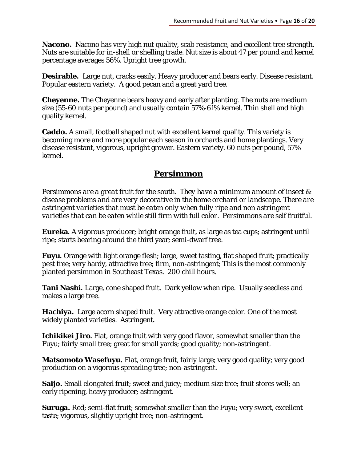**Nacono.** Nacono has very high nut quality, scab resistance, and excellent tree strength. Nuts are suitable for in-shell or shelling trade. Nut size is about 47 per pound and kernel percentage averages 56%. Upright tree growth.

**Desirable.** Large nut, cracks easily. Heavy producer and bears early. Disease resistant. Popular eastern variety. A good pecan and a great yard tree.

**Cheyenne.** The Cheyenne bears heavy and early after planting. The nuts are medium size (55-60 nuts per pound) and usually contain 57%-61% kernel. Thin shell and high quality kernel.

**Caddo.** A small, football shaped nut with excellent kernel quality. This variety is becoming more and more popular each season in orchards and home plantings. Very disease resistant, vigorous, upright grower. Eastern variety. 60 nuts per pound, 57% kernel.

## **Persimmon**

*Persimmons are a great fruit for the south. They have a minimum amount of insect & disease problems and are very decorative in the home orchard or landscape. There are astringent varieties that must be eaten only when fully ripe and non astringent varieties that can be eaten while still firm with full color. Persimmons are self fruitful.* 

**Eureka.** A vigorous producer; bright orange fruit, as large as tea cups; astringent until ripe; starts bearing around the third year; semi-dwarf tree.

**Fuyu.** Orange with light orange flesh; large, sweet tasting, flat shaped fruit; practically pest free; very hardy, attractive tree; firm, non-astringent; This is the most commonly planted persimmon in Southeast Texas. 200 chill hours.

**Tani Nashi.** Large, cone shaped fruit. Dark yellow when ripe. Usually seedless and makes a large tree.

**Hachiya.** Large acorn shaped fruit. Very attractive orange color. One of the most widely planted varieties. Astringent**.** 

**Ichikikei Jiro.** Flat, orange fruit with very good flavor, somewhat smaller than the Fuyu; fairly small tree; great for small yards; good quality; non-astringent.

**Matsomoto Wasefuyu.** Flat, orange fruit, fairly large; very good quality; very good production on a vigorous spreading tree; non-astringent.

**Saijo.** Small elongated fruit; sweet and juicy; medium size tree; fruit stores well; an early ripening, heavy producer; astringent.

**Suruga.** Red; semi-flat fruit; somewhat smaller than the Fuyu; very sweet, excellent taste; vigorous, slightly upright tree; non-astringent.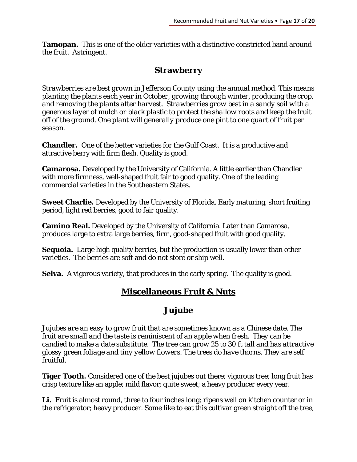**Tamopan.** This is one of the older varieties with a distinctive constricted band around the fruit. Astringent.

# **Strawberry**

*Strawberries are best grown in Jefferson County using the annual method. This means planting the plants each year in October, growing through winter, producing the crop, and removing the plants after harvest. Strawberries grow best in a sandy soil with a generous layer of mulch or black plastic to protect the shallow roots and keep the fruit off of the ground. One plant will generally produce one pint to one quart of fruit per season.* 

**Chandler.** One of the better varieties for the Gulf Coast. It is a productive and attractive berry with firm flesh. Quality is good.

**Camarosa.** Developed by the University of California. A little earlier than Chandler with more firmness, well-shaped fruit fair to good quality. One of the leading commercial varieties in the Southeastern States.

**Sweet Charlie.** Developed by the University of Florida. Early maturing, short fruiting period, light red berries, good to fair quality.

**Camino Real.** Developed by the University of California. Later than Camarosa, produces large to extra large berries, firm, good-shaped fruit with good quality.

**Sequoia.** Large high quality berries, but the production is usually lower than other varieties. The berries are soft and do not store or ship well.

**Selva.** A vigorous variety, that produces in the early spring. The quality is good.

# **Miscellaneous Fruit & Nuts**

# *Jujube*

*Jujubes are an easy to grow fruit that are sometimes known as a Chinese date. The fruit are small and the taste is reminiscent of an apple when fresh. They can be candied to make a date substitute. The tree can grow 25 to 30 ft tall and has attractive glossy green foliage and tiny yellow flowers. The trees do have thorns. They are self fruitful.* 

**Tiger Tooth.** Considered one of the best jujubes out there; vigorous tree; long fruit has crisp texture like an apple; mild flavor; quite sweet; a heavy producer every year.

Li. Fruit is almost round, three to four inches long; ripens well on kitchen counter or in the refrigerator; heavy producer. Some like to eat this cultivar green straight off the tree,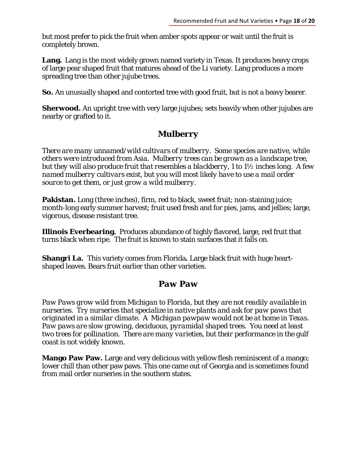but most prefer to pick the fruit when amber spots appear or wait until the fruit is completely brown.

Lang. Lang is the most widely grown named variety in Texas. It produces heavy crops of large pear shaped fruit that matures ahead of the Li variety. Lang produces a more spreading tree than other jujube trees.

**So.** An unusually shaped and contorted tree with good fruit, but is not a heavy bearer.

**Sherwood.** An upright tree with very large jujubes; sets heavily when other jujubes are nearby or grafted to it.

# *Mulberry*

*There are many unnamed/wild cultivars of mulberry. Some species are native, while others were introduced from Asia. Mulberry trees can be grown as a landscape tree, but they will also produce fruit that resembles a blackberry, 1 to 1½ inches long. A few named mulberry cultivars exist, but you will most likely have to use a mail order source to get them, or just grow a wild mulberry.* 

**Pakistan.** Long (three inches), firm, red to black, sweet fruit; non-staining juice; month-long early summer harvest; fruit used fresh and for pies, jams, and jellies; large, vigorous, disease resistant tree.

**Illinois Everbearing.** Produces abundance of highly flavored, large, red fruit that turns black when ripe. The fruit is known to stain surfaces that it falls on.

**Shangri La.** This variety comes from Florida**.** Large black fruit with huge heartshaped leaves. Bears fruit earlier than other varieties.

# *Paw Paw*

*Paw Paws grow wild from Michigan to Florida, but they are not readily available in nurseries. Try nurseries that specialize in native plants and ask for paw paws that originated in a similar climate. A Michigan pawpaw would not be at home in Texas. Paw paws are slow growing, deciduous, pyramidal shaped trees. You need at least two trees for pollination. There are many varieties, but their performance in the gulf coast is not widely known.* 

**Mango Paw Paw.** Large and very delicious with yellow flesh reminiscent of a mango; lower chill than other paw paws. This one came out of Georgia and is sometimes found from mail order nurseries in the southern states.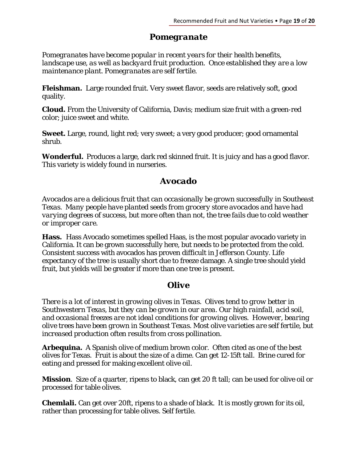#### *Pomegranate*

*Pomegranates have become popular in recent years for their health benefits, landscape use, as well as backyard fruit production. Once established they are a low maintenance plant. Pomegranates are self fertile.* 

**Fleishman.** Large rounded fruit. Very sweet flavor, seeds are relatively soft, good quality.

**Cloud.** From the University of California, Davis; medium size fruit with a green-red color; juice sweet and white.

**Sweet.** Large, round, light red; very sweet; a very good producer; good ornamental shrub.

**Wonderful.** Produces a large, dark red skinned fruit. It is juicy and has a good flavor. This variety is widely found in nurseries.

## *Avocado*

*Avocados are a delicious fruit that can occasionally be grown successfully in Southeast Texas. Many people have planted seeds from grocery store avocados and have had varying degrees of success, but more often than not, the tree fails due to cold weather or improper care.* 

**Hass.** Hass Avocado sometimes spelled Haas, is the most popular avocado variety in California. It can be grown successfully here, but needs to be protected from the cold. Consistent success with avocados has proven difficult in Jefferson County. Life expectancy of the tree is usually short due to freeze damage. A single tree should yield fruit, but yields will be greater if more than one tree is present.

# *Olive*

*There is a lot of interest in growing olives in Texas. Olives tend to grow better in Southwestern Texas, but they can be grown in our area. Our high rainfall, acid soil, and occasional freezes are not ideal conditions for growing olives. However, bearing olive trees have been grown in Southeast Texas. Most olive varieties are self fertile, but increased production often results from cross pollination.*

**Arbequina.** A Spanish olive of medium brown color. Often cited as one of the best olives for Texas. Fruit is about the size of a dime. Can get 12-15ft tall. Brine cured for eating and pressed for making excellent olive oil.

**Mission**. Size of a quarter, ripens to black, can get 20 ft tall; can be used for olive oil or processed for table olives.

**Chemlali.** Can get over 20ft, ripens to a shade of black. It is mostly grown for its oil, rather than processing for table olives. Self fertile.